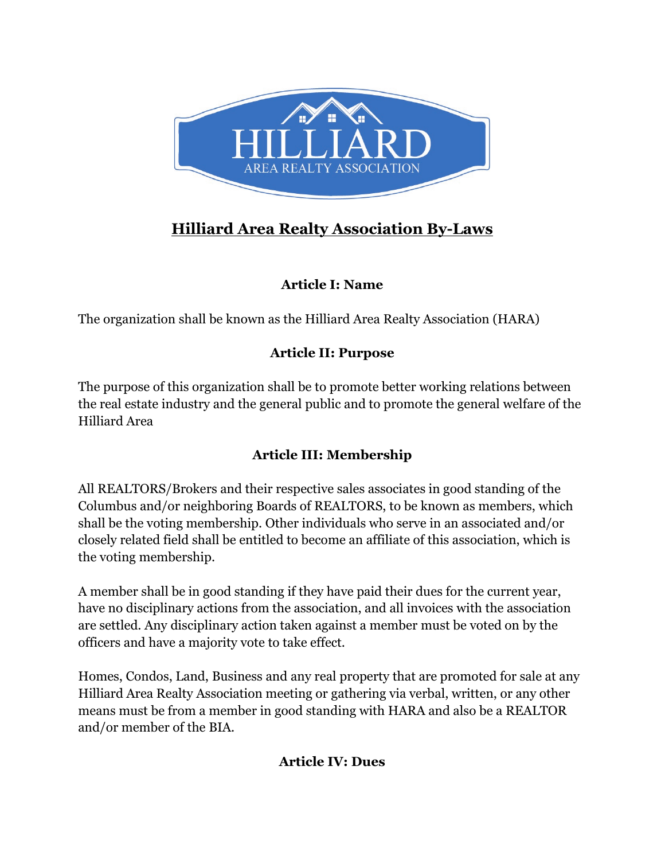

# **Hilliard Area Realty Association By-Laws**

# **Article I: Name**

The organization shall be known as the Hilliard Area Realty Association (HARA)

# **Article II: Purpose**

The purpose of this organization shall be to promote better working relations between the real estate industry and the general public and to promote the general welfare of the Hilliard Area

# **Article III: Membership**

All REALTORS/Brokers and their respective sales associates in good standing of the Columbus and/or neighboring Boards of REALTORS, to be known as members, which shall be the voting membership. Other individuals who serve in an associated and/or closely related field shall be entitled to become an affiliate of this association, which is the voting membership.

A member shall be in good standing if they have paid their dues for the current year, have no disciplinary actions from the association, and all invoices with the association are settled. Any disciplinary action taken against a member must be voted on by the officers and have a majority vote to take effect.

Homes, Condos, Land, Business and any real property that are promoted for sale at any Hilliard Area Realty Association meeting or gathering via verbal, written, or any other means must be from a member in good standing with HARA and also be a REALTOR and/or member of the BIA.

# **Article IV: Dues**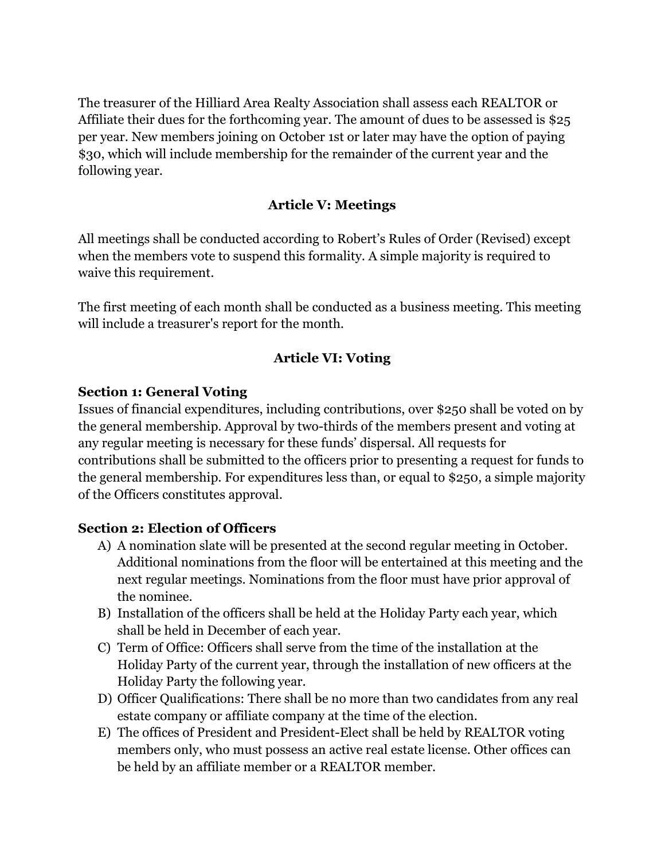The treasurer of the Hilliard Area Realty Association shall assess each REALTOR or Affiliate their dues for the forthcoming year. The amount of dues to be assessed is \$25 per year. New members joining on October 1st or later may have the option of paying \$30, which will include membership for the remainder of the current year and the following year.

### **Article V: Meetings**

All meetings shall be conducted according to Robert's Rules of Order (Revised) except when the members vote to suspend this formality. A simple majority is required to waive this requirement.

The first meeting of each month shall be conducted as a business meeting. This meeting will include a treasurer's report for the month.

### **Article VI: Voting**

#### **Section 1: General Voting**

Issues of financial expenditures, including contributions, over \$250 shall be voted on by the general membership. Approval by two-thirds of the members present and voting at any regular meeting is necessary for these funds' dispersal. All requests for contributions shall be submitted to the officers prior to presenting a request for funds to the general membership. For expenditures less than, or equal to \$250, a simple majority of the Officers constitutes approval.

#### **Section 2: Election of Officers**

- A) A nomination slate will be presented at the second regular meeting in October. Additional nominations from the floor will be entertained at this meeting and the next regular meetings. Nominations from the floor must have prior approval of the nominee.
- B) Installation of the officers shall be held at the Holiday Party each year, which shall be held in December of each year.
- C) Term of Office: Officers shall serve from the time of the installation at the Holiday Party of the current year, through the installation of new officers at the Holiday Party the following year.
- D) Officer Qualifications: There shall be no more than two candidates from any real estate company or affiliate company at the time of the election.
- E) The offices of President and President-Elect shall be held by REALTOR voting members only, who must possess an active real estate license. Other offices can be held by an affiliate member or a REALTOR member.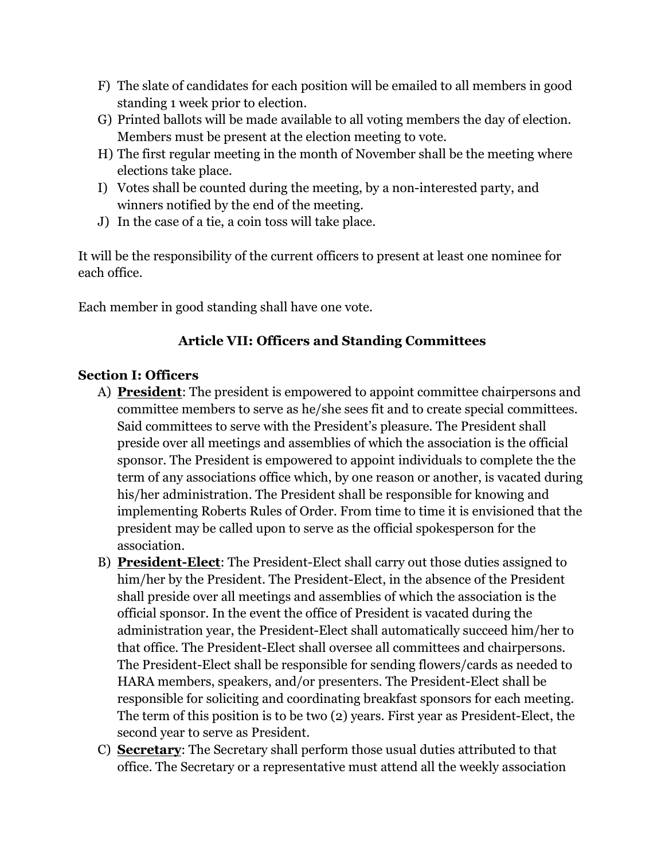- F) The slate of candidates for each position will be emailed to all members in good standing 1 week prior to election.
- G) Printed ballots will be made available to all voting members the day of election. Members must be present at the election meeting to vote.
- H) The first regular meeting in the month of November shall be the meeting where elections take place.
- I) Votes shall be counted during the meeting, by a non-interested party, and winners notified by the end of the meeting.
- J) In the case of a tie, a coin toss will take place.

It will be the responsibility of the current officers to present at least one nominee for each office.

Each member in good standing shall have one vote.

# **Article VII: Officers and Standing Committees**

### **Section I: Officers**

- A) **President**: The president is empowered to appoint committee chairpersons and committee members to serve as he/she sees fit and to create special committees. Said committees to serve with the President's pleasure. The President shall preside over all meetings and assemblies of which the association is the official sponsor. The President is empowered to appoint individuals to complete the the term of any associations office which, by one reason or another, is vacated during his/her administration. The President shall be responsible for knowing and implementing Roberts Rules of Order. From time to time it is envisioned that the president may be called upon to serve as the official spokesperson for the association.
- B) **President-Elect**: The President-Elect shall carry out those duties assigned to him/her by the President. The President-Elect, in the absence of the President shall preside over all meetings and assemblies of which the association is the official sponsor. In the event the office of President is vacated during the administration year, the President-Elect shall automatically succeed him/her to that office. The President-Elect shall oversee all committees and chairpersons. The President-Elect shall be responsible for sending flowers/cards as needed to HARA members, speakers, and/or presenters. The President-Elect shall be responsible for soliciting and coordinating breakfast sponsors for each meeting. The term of this position is to be two (2) years. First year as President-Elect, the second year to serve as President.
- C) **Secretary**: The Secretary shall perform those usual duties attributed to that office. The Secretary or a representative must attend all the weekly association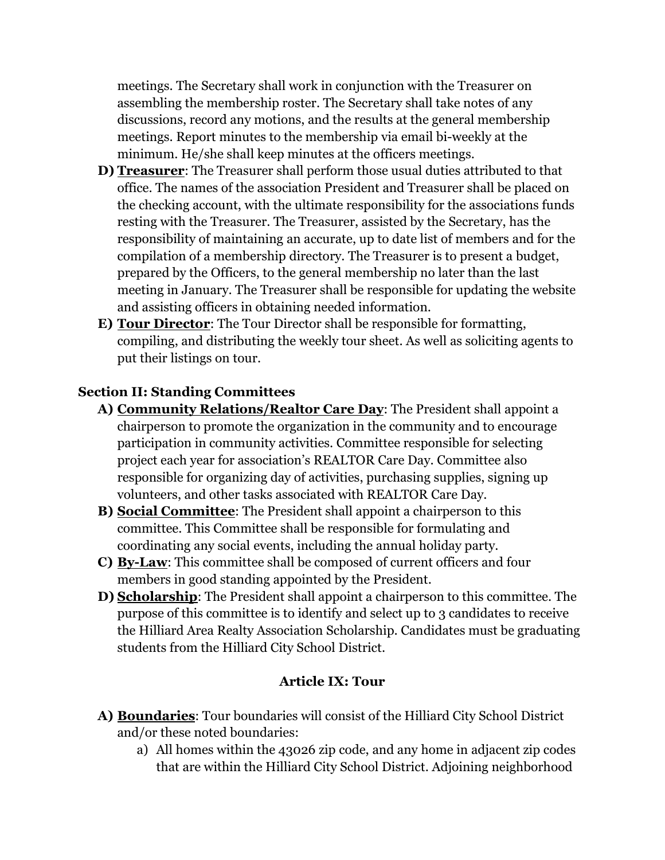meetings. The Secretary shall work in conjunction with the Treasurer on assembling the membership roster. The Secretary shall take notes of any discussions, record any motions, and the results at the general membership meetings. Report minutes to the membership via email bi-weekly at the minimum. He/she shall keep minutes at the officers meetings.

- **D) Treasurer**: The Treasurer shall perform those usual duties attributed to that office. The names of the association President and Treasurer shall be placed on the checking account, with the ultimate responsibility for the associations funds resting with the Treasurer. The Treasurer, assisted by the Secretary, has the responsibility of maintaining an accurate, up to date list of members and for the compilation of a membership directory. The Treasurer is to present a budget, prepared by the Officers, to the general membership no later than the last meeting in January. The Treasurer shall be responsible for updating the website and assisting officers in obtaining needed information.
- **E) Tour Director**: The Tour Director shall be responsible for formatting, compiling, and distributing the weekly tour sheet. As well as soliciting agents to put their listings on tour.

### **Section II: Standing Committees**

- **A) Community Relations/Realtor Care Day**: The President shall appoint a chairperson to promote the organization in the community and to encourage participation in community activities. Committee responsible for selecting project each year for association's REALTOR Care Day. Committee also responsible for organizing day of activities, purchasing supplies, signing up volunteers, and other tasks associated with REALTOR Care Day.
- **B) Social Committee**: The President shall appoint a chairperson to this committee. This Committee shall be responsible for formulating and coordinating any social events, including the annual holiday party.
- **C) By-Law**: This committee shall be composed of current officers and four members in good standing appointed by the President.
- **D) Scholarship**: The President shall appoint a chairperson to this committee. The purpose of this committee is to identify and select up to 3 candidates to receive the Hilliard Area Realty Association Scholarship. Candidates must be graduating students from the Hilliard City School District.

### **Article IX: Tour**

- **A) Boundaries**: Tour boundaries will consist of the Hilliard City School District and/or these noted boundaries:
	- a) All homes within the 43026 zip code, and any home in adjacent zip codes that are within the Hilliard City School District. Adjoining neighborhood